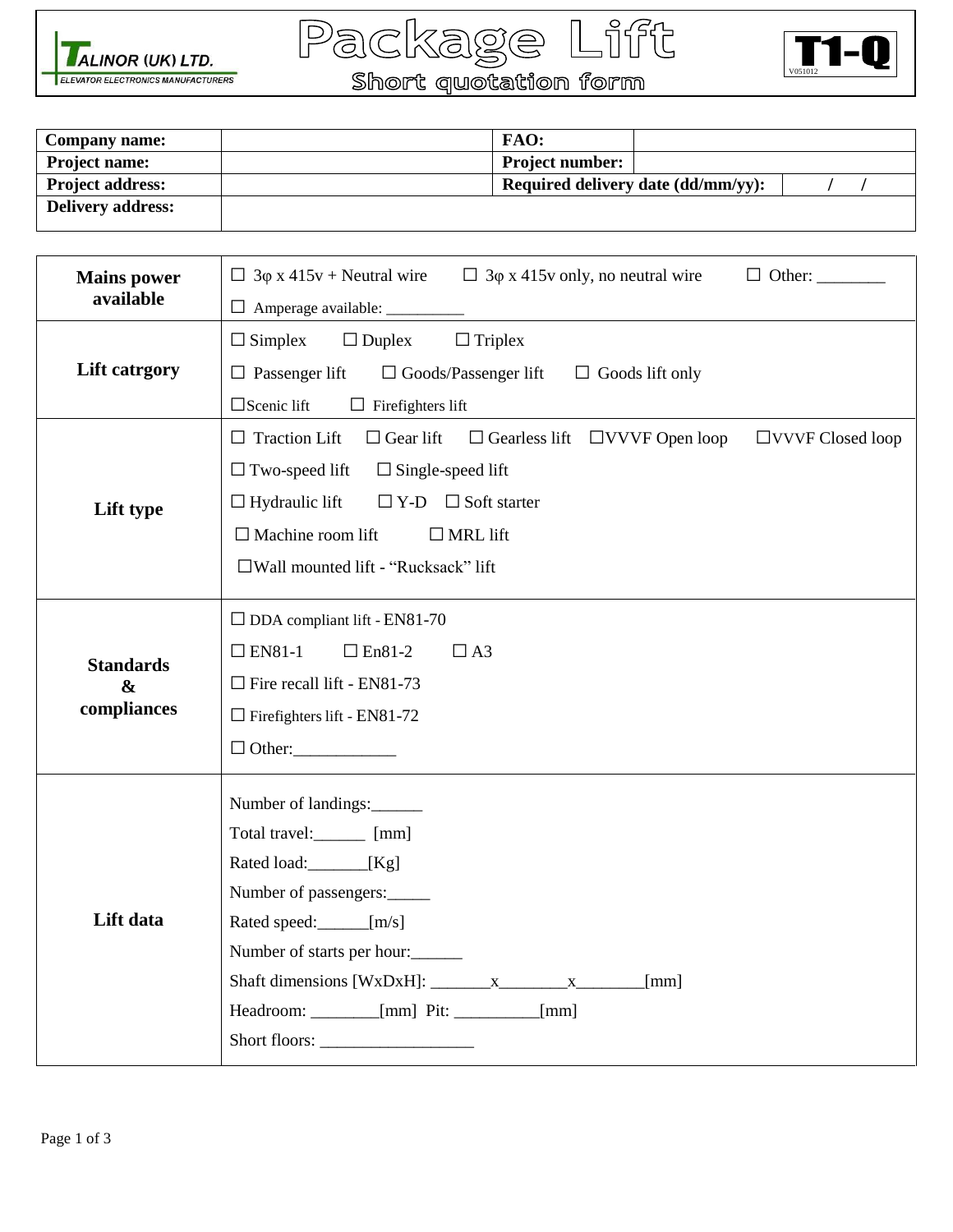





| <b>Company name:</b>     | FAO:                   |                                           |  |
|--------------------------|------------------------|-------------------------------------------|--|
| <b>Project name:</b>     | <b>Project number:</b> |                                           |  |
| <b>Project address:</b>  |                        | <b>Required delivery date (dd/mm/yy):</b> |  |
| <b>Delivery address:</b> |                        |                                           |  |

| <b>Mains power</b><br>available                      | $\Box$ 3 $\phi$ x 415v + Neutral wire $\Box$ 3 $\phi$ x 415v only, no neutral wire                                                                                                                                                                                                                                       |  |
|------------------------------------------------------|--------------------------------------------------------------------------------------------------------------------------------------------------------------------------------------------------------------------------------------------------------------------------------------------------------------------------|--|
| <b>Lift catrgory</b>                                 | $\Box$ Simplex<br>$\Box$ Duplex<br>$\Box$ Triplex<br>$\Box$ Passenger lift<br>$\Box$ Goods/Passenger lift<br>$\Box$ Goods lift only<br>$\Box$ Scenic lift<br>$\Box$ Firefighters lift                                                                                                                                    |  |
| Lift type                                            | $\Box$ Traction Lift<br>$\Box$ Gear lift<br>$\Box$ Gearless lift $\Box$ VVVF Open loop<br>$\Box$ VVVF Closed loop<br>$\Box$ Two-speed lift<br>$\Box$ Single-speed lift<br>$\Box$ Hydraulic lift<br>$\Box$ Y-D $\Box$ Soft starter<br>$\Box$ Machine room lift<br>$\Box$ MRL lift<br>□Wall mounted lift - "Rucksack" lift |  |
| <b>Standards</b><br>$\boldsymbol{\&}$<br>compliances | $\Box$ DDA compliant lift - EN81-70<br>$\Box$ EN81-1<br>$\Box$ En81-2<br>$\Box$ A3<br>$\Box$ Fire recall lift - EN81-73<br>$\Box$ Firefighters lift - EN81-72<br>$\Box$ Other:                                                                                                                                           |  |
| Lift data                                            | Number of landings:<br>Total travel:<br>________ [mm]<br>Rated load: [Kg]<br>Number of passengers:<br>Rated speed: [m/s]<br>Number of starts per hour:<br>[mm]<br>Headroom: ________ [mm] Pit: _________ [mm]                                                                                                            |  |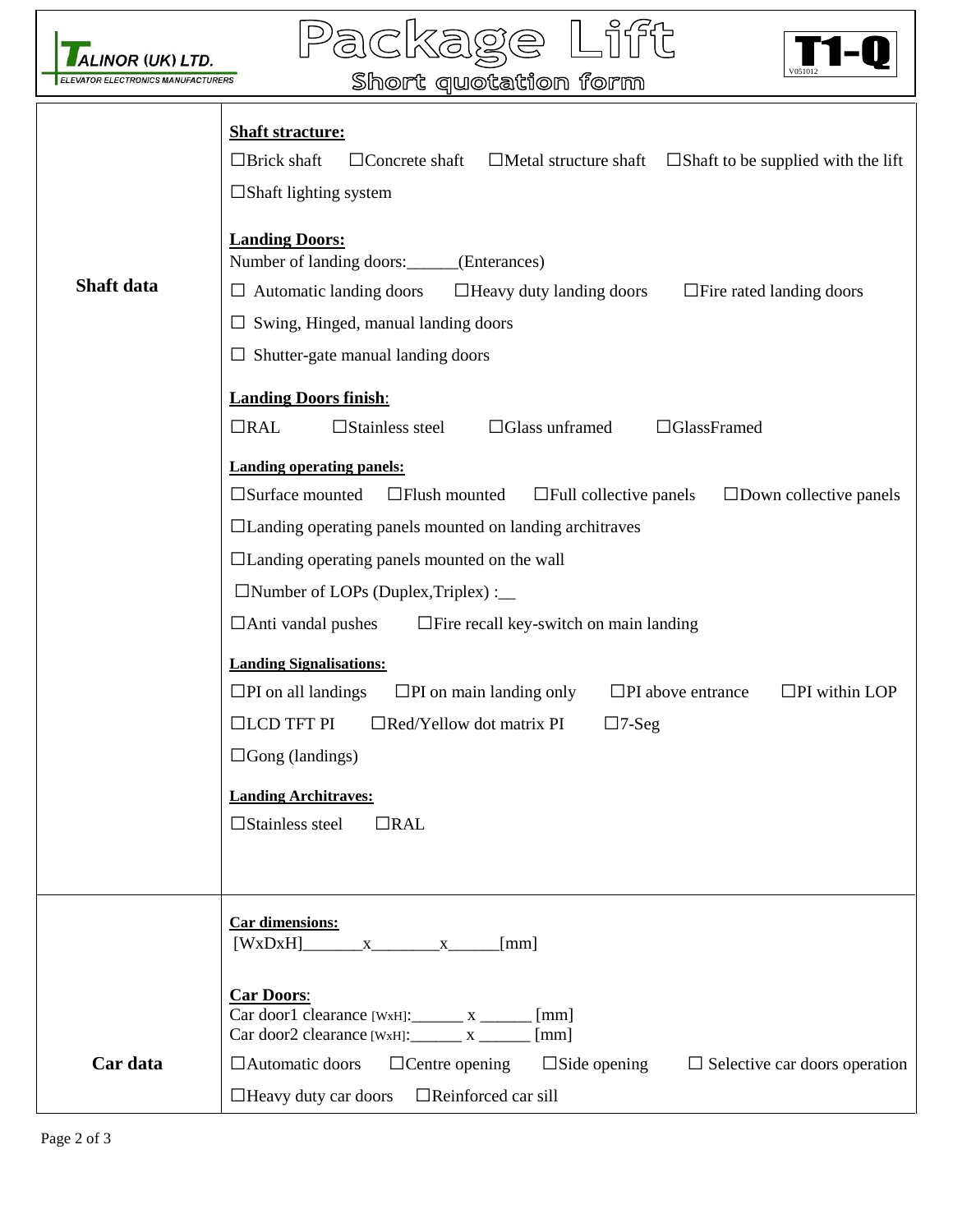

.ifft  $\overline{\Pi}$ Pa  $\circledcirc$ (ර)



| <b>ELEVATOR ELECTRONICS MANUFACTURERS</b> | V051012<br>Short quotation form                                                                                                                                                                                                                                                                                                                                                                                                                                                                                                                                                                                                                                                                                                                           |
|-------------------------------------------|-----------------------------------------------------------------------------------------------------------------------------------------------------------------------------------------------------------------------------------------------------------------------------------------------------------------------------------------------------------------------------------------------------------------------------------------------------------------------------------------------------------------------------------------------------------------------------------------------------------------------------------------------------------------------------------------------------------------------------------------------------------|
|                                           | <b>Shaft stracture:</b><br>$\Box$ Brick shaft<br>$\Box$ Concrete shaft<br>$\Box$ Metal structure shaft $\Box$ Shaft to be supplied with the lift<br>$\Box$ Shaft lighting system                                                                                                                                                                                                                                                                                                                                                                                                                                                                                                                                                                          |
| Shaft data                                | <b>Landing Doors:</b><br>Number of landing doors: ______ (Enterances)<br>□ Heavy duty landing doors<br>$\Box$ Automatic landing doors<br>$\Box$ Fire rated landing doors<br>$\Box$ Swing, Hinged, manual landing doors                                                                                                                                                                                                                                                                                                                                                                                                                                                                                                                                    |
|                                           | $\Box$ Shutter-gate manual landing doors<br><b>Landing Doors finish:</b><br>$\Box$ Glass unframed<br>$\Box$ GlassFramed<br>$\Box$ RAL<br>$\square$ Stainless steel                                                                                                                                                                                                                                                                                                                                                                                                                                                                                                                                                                                        |
|                                           | <b>Landing operating panels:</b><br>$\square$ Surface mounted<br>$\Box$ Flush mounted<br>$\Box$ Down collective panels<br>$\Box$ Full collective panels<br>$\Box$ Landing operating panels mounted on landing architraves<br>$\Box$ Landing operating panels mounted on the wall<br>$\Box$ Number of LOPs (Duplex, Triplex) : $\Box$<br>$\Box$ Anti vandal pushes<br>$\Box$ Fire recall key-switch on main landing<br><b>Landing Signalisations:</b><br>$\square$ PI on main landing only<br>$\square$ PI on all landings<br>$\Box$ PI above entrance<br>$\Box$ PI within LOP<br>$\Box$ LCD TFT PI<br>$\Box$ Red/Yellow dot matrix PI<br>$\Box$ 7-Seg<br>$\Box$ Gong (landings)<br><b>Landing Architraves:</b><br>$\square$ Stainless steel<br>$\Box$ RAL |
| Car data                                  | <b>Car dimensions:</b><br>$[WxDxH]$ x $x$ [mm]<br><b>Car Doors:</b><br>$Car door1 clearance [WxH]:$ $x$ $100$ $N$ $100$ $N$<br>$Car door2 clearance [WxH]:$ $x$ $100$ $N$ $100$ $N$ $N$ $100$ $N$<br>$\Box$ Automatic doors<br>$\Box$ Centre opening<br>$\square$ Side opening<br>$\Box$ Selective car doors operation<br>$\Box$ Heavy duty car doors<br>$\Box$ Reinforced car sill                                                                                                                                                                                                                                                                                                                                                                       |